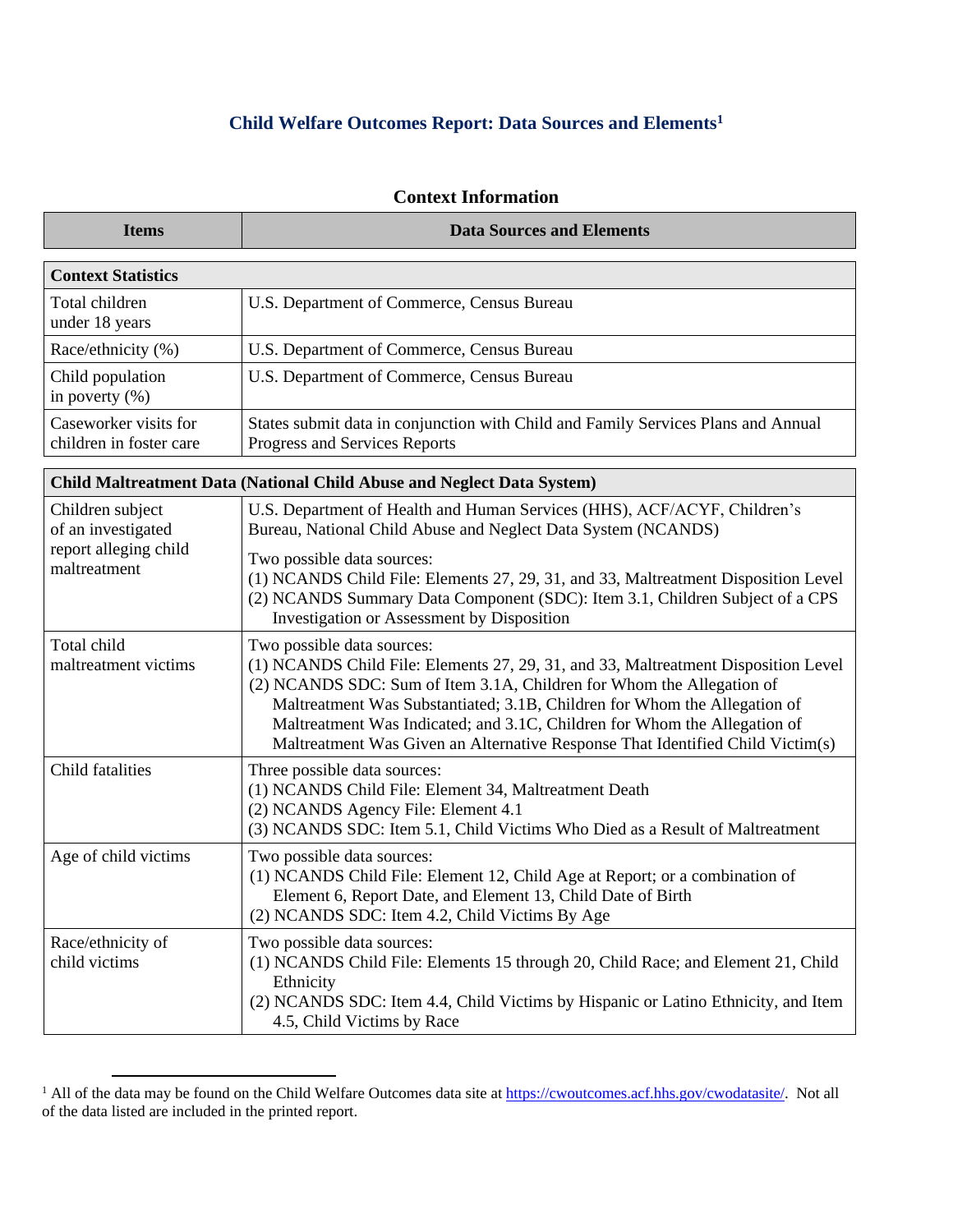## **Child Welfare Outcomes Report: Data Sources and Elements<sup>1</sup>**

| <b>Context Information</b>                                                    |                                                                                                                                           |  |
|-------------------------------------------------------------------------------|-------------------------------------------------------------------------------------------------------------------------------------------|--|
| <b>Items</b>                                                                  | <b>Data Sources and Elements</b>                                                                                                          |  |
| <b>Context Statistics</b>                                                     |                                                                                                                                           |  |
| Total children<br>under 18 years                                              | U.S. Department of Commerce, Census Bureau                                                                                                |  |
| Race/ethnicity (%)                                                            | U.S. Department of Commerce, Census Bureau                                                                                                |  |
| Child population<br>in poverty $(\% )$                                        | U.S. Department of Commerce, Census Bureau                                                                                                |  |
| Caseworker visits for<br>children in foster care                              | States submit data in conjunction with Child and Family Services Plans and Annual<br>Progress and Services Reports                        |  |
| <b>Child Maltreatment Data (National Child Abuse and Neglect Data System)</b> |                                                                                                                                           |  |
| Children subject<br>of an investigated                                        | U.S. Department of Health and Human Services (HHS), ACF/ACYF, Children's<br>Bureau, National Child Abuse and Neglect Data System (NCANDS) |  |

| of an investigated<br>report alleging child<br>maltreatment | Bureau, National Child Abuse and Neglect Data System (NCANDS)<br>Two possible data sources:<br>(1) NCANDS Child File: Elements 27, 29, 31, and 33, Maltreatment Disposition Level<br>(2) NCANDS Summary Data Component (SDC): Item 3.1, Children Subject of a CPS<br>Investigation or Assessment by Disposition                                                                                                                       |
|-------------------------------------------------------------|---------------------------------------------------------------------------------------------------------------------------------------------------------------------------------------------------------------------------------------------------------------------------------------------------------------------------------------------------------------------------------------------------------------------------------------|
| Total child<br>maltreatment victims                         | Two possible data sources:<br>(1) NCANDS Child File: Elements 27, 29, 31, and 33, Maltreatment Disposition Level<br>(2) NCANDS SDC: Sum of Item 3.1A, Children for Whom the Allegation of<br>Maltreatment Was Substantiated; 3.1B, Children for Whom the Allegation of<br>Maltreatment Was Indicated; and 3.1C, Children for Whom the Allegation of<br>Maltreatment Was Given an Alternative Response That Identified Child Victim(s) |
| Child fatalities                                            | Three possible data sources:<br>(1) NCANDS Child File: Element 34, Maltreatment Death<br>(2) NCANDS Agency File: Element 4.1<br>(3) NCANDS SDC: Item 5.1, Child Victims Who Died as a Result of Maltreatment                                                                                                                                                                                                                          |
| Age of child victims                                        | Two possible data sources:<br>(1) NCANDS Child File: Element 12, Child Age at Report; or a combination of<br>Element 6, Report Date, and Element 13, Child Date of Birth<br>(2) NCANDS SDC: Item 4.2, Child Victims By Age                                                                                                                                                                                                            |
| Race/ethnicity of                                           | Two possible data sources:                                                                                                                                                                                                                                                                                                                                                                                                            |

| (1) NCANDS Child File: Elements 15 through 20, Child Race; and Element 21, Child          |
|-------------------------------------------------------------------------------------------|
| Ethnicity                                                                                 |
| $\vert$ (2) NCANDS SDC: Item 4.4, Child Victims by Hispanic or Latino Ethnicity, and Item |
| 4.5, Child Victims by Race                                                                |
|                                                                                           |

<sup>&</sup>lt;sup>1</sup> All of the data may be found on the Child Welfare Outcomes data site at [https://cwoutcomes.acf.hhs.gov/cwodatasite/.](https://cwoutcomes.acf.hhs.gov/cwodatasite/) Not all of the data listed are included in the printed report.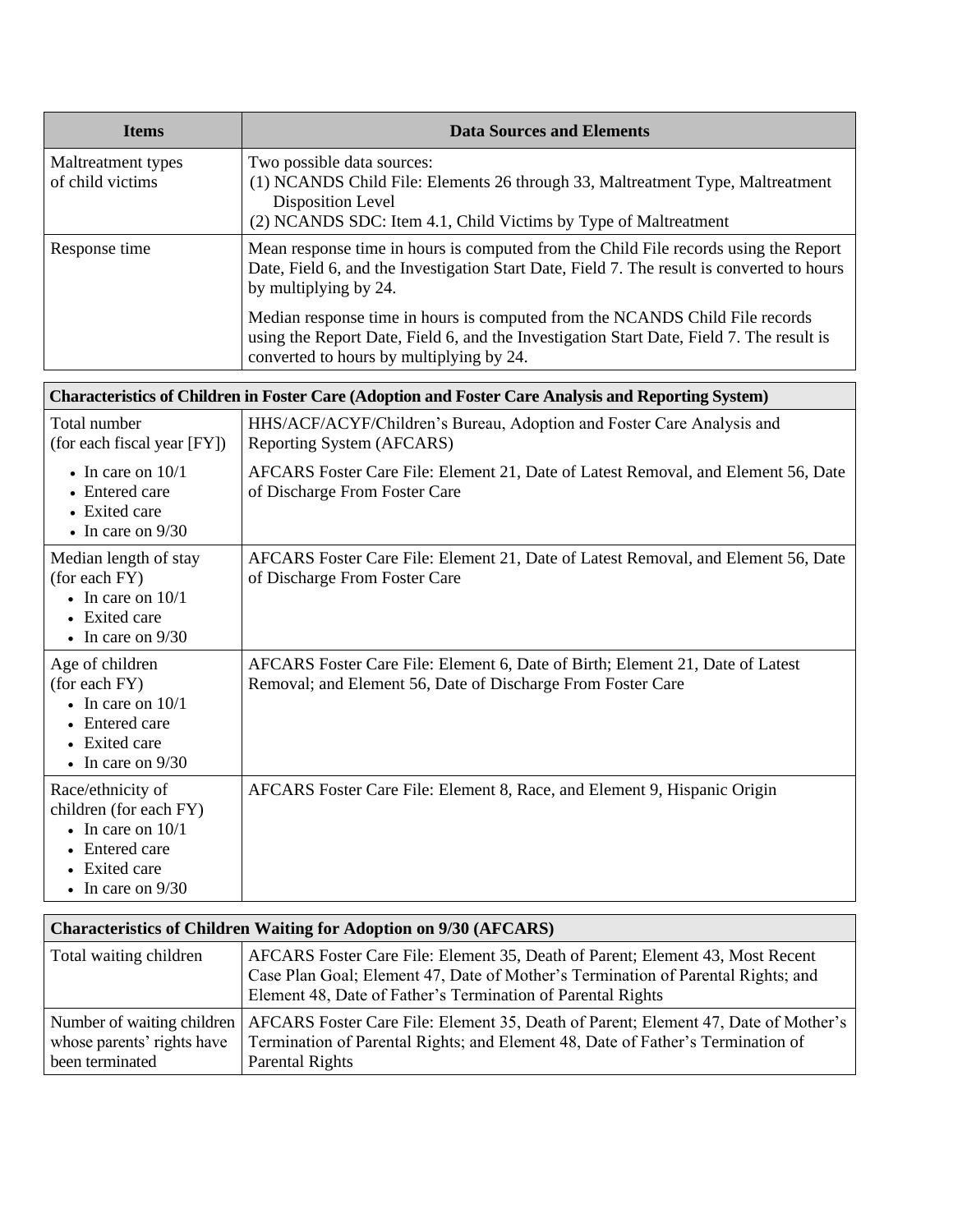| <b>Items</b>                                                                                                                           | <b>Data Sources and Elements</b>                                                                                                                                                                                     |
|----------------------------------------------------------------------------------------------------------------------------------------|----------------------------------------------------------------------------------------------------------------------------------------------------------------------------------------------------------------------|
| Maltreatment types<br>of child victims                                                                                                 | Two possible data sources:<br>(1) NCANDS Child File: Elements 26 through 33, Maltreatment Type, Maltreatment<br>Disposition Level<br>(2) NCANDS SDC: Item 4.1, Child Victims by Type of Maltreatment                 |
| Response time                                                                                                                          | Mean response time in hours is computed from the Child File records using the Report<br>Date, Field 6, and the Investigation Start Date, Field 7. The result is converted to hours<br>by multiplying by 24.          |
|                                                                                                                                        | Median response time in hours is computed from the NCANDS Child File records<br>using the Report Date, Field 6, and the Investigation Start Date, Field 7. The result is<br>converted to hours by multiplying by 24. |
|                                                                                                                                        | <b>Characteristics of Children in Foster Care (Adoption and Foster Care Analysis and Reporting System)</b>                                                                                                           |
| Total number<br>(for each fiscal year [FY])                                                                                            | HHS/ACF/ACYF/Children's Bureau, Adoption and Foster Care Analysis and<br>Reporting System (AFCARS)                                                                                                                   |
| $\bullet$ In care on $10/1$<br>• Entered care<br>• Exited care<br>$\bullet$ In care on 9/30                                            | AFCARS Foster Care File: Element 21, Date of Latest Removal, and Element 56, Date<br>of Discharge From Foster Care                                                                                                   |
| Median length of stay<br>(for each FY)<br>$\bullet$ In care on $10/1$<br>• Exited care<br>$\bullet$ In care on 9/30                    | AFCARS Foster Care File: Element 21, Date of Latest Removal, and Element 56, Date<br>of Discharge From Foster Care                                                                                                   |
| Age of children<br>(for each FY)<br>$\bullet$ In care on $10/1$<br>• Entered care<br>• Exited care<br>$\bullet$ In care on 9/30        | AFCARS Foster Care File: Element 6, Date of Birth; Element 21, Date of Latest<br>Removal; and Element 56, Date of Discharge From Foster Care                                                                         |
| Race/ethnicity of<br>children (for each FY)<br>$\bullet$ In care on 10/1<br>• Entered care<br>Exited care<br>$\bullet$ In care on 9/30 | AFCARS Foster Care File: Element 8, Race, and Element 9, Hispanic Origin                                                                                                                                             |

| <b>Characteristics of Children Waiting for Adoption on 9/30 (AFCARS)</b>    |                                                                                                                                                                                                                                  |  |
|-----------------------------------------------------------------------------|----------------------------------------------------------------------------------------------------------------------------------------------------------------------------------------------------------------------------------|--|
| Total waiting children                                                      | AFCARS Foster Care File: Element 35, Death of Parent; Element 43, Most Recent<br>Case Plan Goal; Element 47, Date of Mother's Termination of Parental Rights; and<br>Element 48, Date of Father's Termination of Parental Rights |  |
| Number of waiting children<br>whose parents' rights have<br>been terminated | AFCARS Foster Care File: Element 35, Death of Parent; Element 47, Date of Mother's<br>Termination of Parental Rights; and Element 48, Date of Father's Termination of<br><b>Parental Rights</b>                                  |  |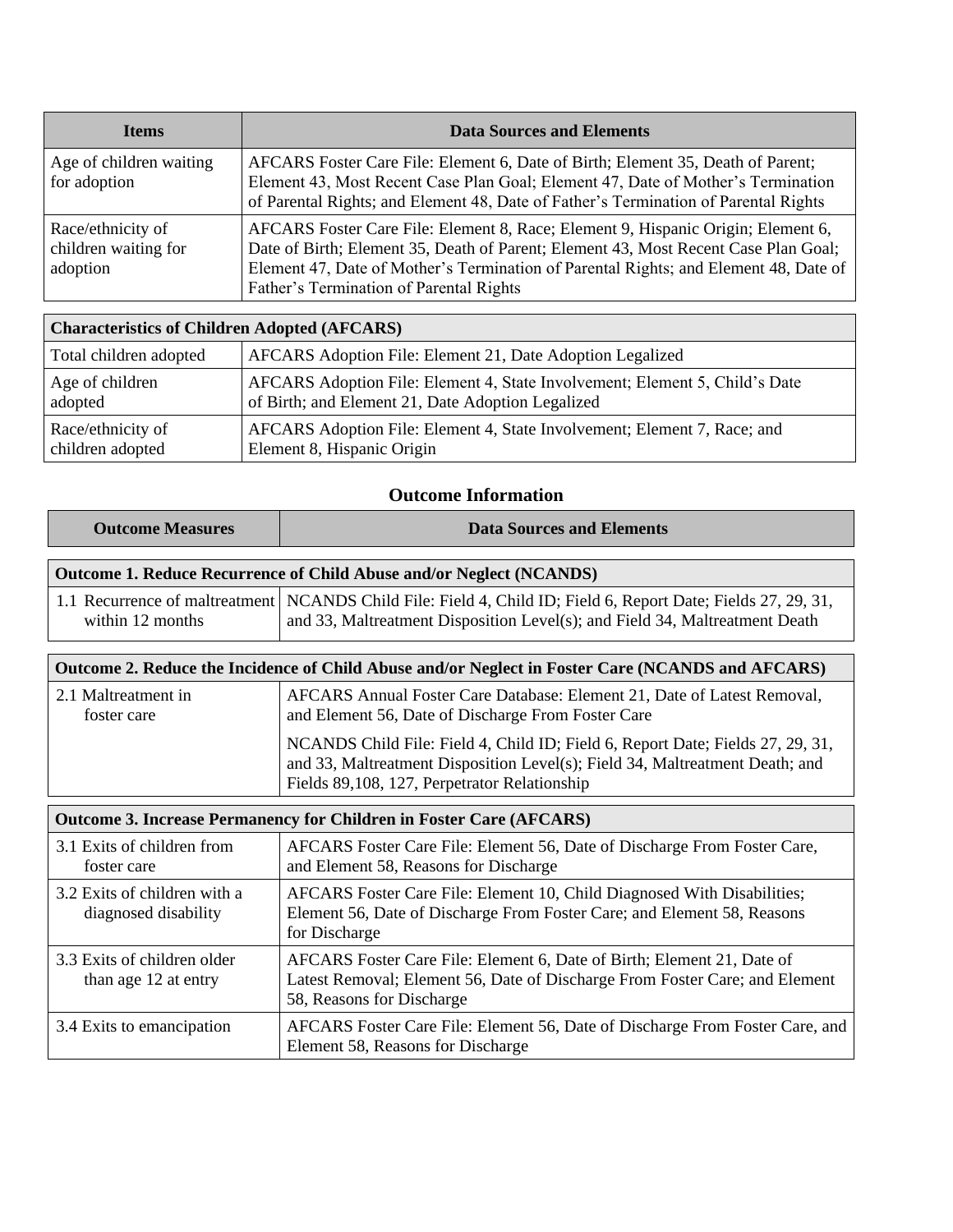| <b>Items</b>                                          | <b>Data Sources and Elements</b>                                                                                                                                                                                                                                                                           |
|-------------------------------------------------------|------------------------------------------------------------------------------------------------------------------------------------------------------------------------------------------------------------------------------------------------------------------------------------------------------------|
| Age of children waiting<br>for adoption               | AFCARS Foster Care File: Element 6, Date of Birth; Element 35, Death of Parent;<br>Element 43, Most Recent Case Plan Goal; Element 47, Date of Mother's Termination<br>of Parental Rights; and Element 48, Date of Father's Termination of Parental Rights                                                 |
| Race/ethnicity of<br>children waiting for<br>adoption | AFCARS Foster Care File: Element 8, Race; Element 9, Hispanic Origin; Element 6,<br>Date of Birth; Element 35, Death of Parent; Element 43, Most Recent Case Plan Goal;<br>Element 47, Date of Mother's Termination of Parental Rights; and Element 48, Date of<br>Father's Termination of Parental Rights |

| <b>Characteristics of Children Adopted (AFCARS)</b> |                                                                             |  |
|-----------------------------------------------------|-----------------------------------------------------------------------------|--|
| Total children adopted                              | AFCARS Adoption File: Element 21, Date Adoption Legalized                   |  |
| Age of children                                     | AFCARS Adoption File: Element 4, State Involvement; Element 5, Child's Date |  |
| adopted                                             | of Birth; and Element 21, Date Adoption Legalized                           |  |
| Race/ethnicity of                                   | AFCARS Adoption File: Element 4, State Involvement; Element 7, Race; and    |  |
| children adopted                                    | Element 8, Hispanic Origin                                                  |  |

## **Outcome Information**

| <b>Outcome Measures</b>                                                                          | <b>Data Sources and Elements</b>                                                                                                                                                                               |  |
|--------------------------------------------------------------------------------------------------|----------------------------------------------------------------------------------------------------------------------------------------------------------------------------------------------------------------|--|
| <b>Outcome 1. Reduce Recurrence of Child Abuse and/or Neglect (NCANDS)</b>                       |                                                                                                                                                                                                                |  |
| within 12 months                                                                                 | 1.1 Recurrence of maltreatment   NCANDS Child File: Field 4, Child ID; Field 6, Report Date; Fields 27, 29, 31,<br>and 33, Maltreatment Disposition Level(s); and Field 34, Maltreatment Death                 |  |
| Outcome 2. Reduce the Incidence of Child Abuse and/or Neglect in Foster Care (NCANDS and AFCARS) |                                                                                                                                                                                                                |  |
| 2.1 Maltreatment in<br>foster care                                                               | AFCARS Annual Foster Care Database: Element 21, Date of Latest Removal,<br>and Element 56, Date of Discharge From Foster Care                                                                                  |  |
|                                                                                                  | NCANDS Child File: Field 4, Child ID; Field 6, Report Date; Fields 27, 29, 31,<br>and 33, Maltreatment Disposition Level(s); Field 34, Maltreatment Death; and<br>Fields 89,108, 127, Perpetrator Relationship |  |
| <b>Outcome 3. Increase Permanency for Children in Foster Care (AFCARS)</b>                       |                                                                                                                                                                                                                |  |
| 3.1 Exits of children from<br>foster care                                                        | AFCARS Foster Care File: Element 56, Date of Discharge From Foster Care,<br>and Element 58, Reasons for Discharge                                                                                              |  |
| 3.2 Exits of children with a<br>diagnosed disability                                             | AFCARS Foster Care File: Element 10, Child Diagnosed With Disabilities;<br>Element 56, Date of Discharge From Foster Care; and Element 58, Reasons<br>for Discharge                                            |  |
| 3.3 Exits of children older<br>than age 12 at entry                                              | AFCARS Foster Care File: Element 6, Date of Birth; Element 21, Date of<br>Latest Removal; Element 56, Date of Discharge From Foster Care; and Element<br>58, Reasons for Discharge                             |  |

3.4 Exits to emancipation AFCARS Foster Care File: Element 56, Date of Discharge From Foster Care, and

Element 58, Reasons for Discharge